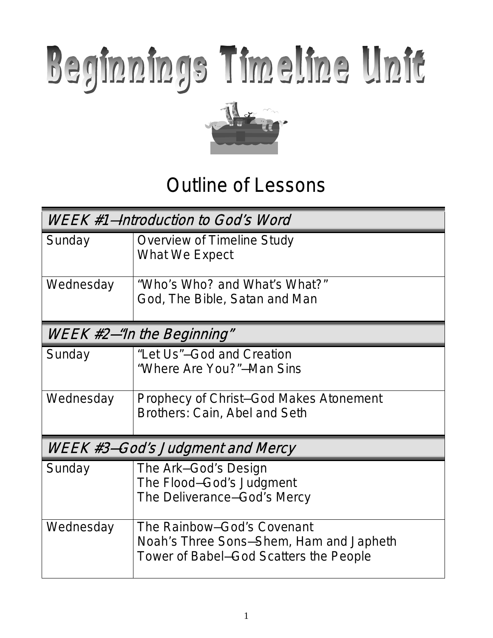# Beginnings Timeline Unit



# Outline of Lessons

| WEEK #1–Introduction to God's Word |                                                                                                                 |  |  |  |
|------------------------------------|-----------------------------------------------------------------------------------------------------------------|--|--|--|
| Sunday                             | Overview of Timeline Study<br>What We Expect                                                                    |  |  |  |
| Wednesday                          | "Who's Who? and What's What?"<br>God, The Bible, Satan and Man                                                  |  |  |  |
| WEEK #2–"In the Beginning"         |                                                                                                                 |  |  |  |
| Sunday                             | "Let Us"-God and Creation<br>"Where Are You?"-Man Sins                                                          |  |  |  |
| Wednesday                          | Prophecy of Christ–God Makes Atonement<br>Brothers: Cain, Abel and Seth                                         |  |  |  |
| WEEK #3-God's Judgment and Mercy   |                                                                                                                 |  |  |  |
| Sunday                             | The Ark-God's Design<br>The Flood-God's Judgment<br>The Deliverance-God's Mercy                                 |  |  |  |
| Wednesday                          | The Rainbow-God's Covenant<br>Noah's Three Sons-Shem, Ham and Japheth<br>Tower of Babel–God Scatters the People |  |  |  |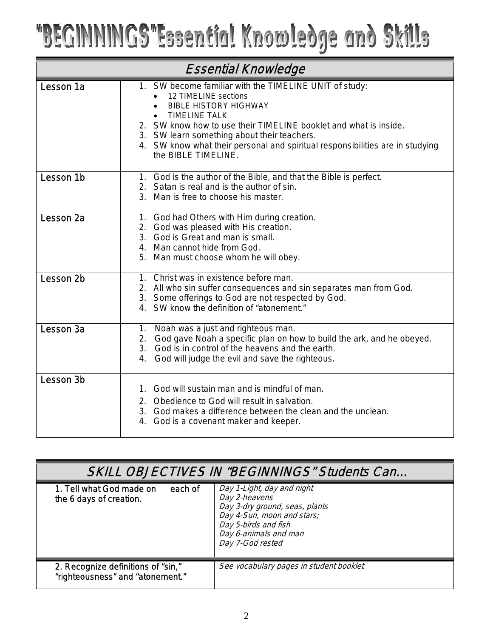# "BEGINNINGS"Essential Knowledge and Skills

| <b>Essential Knowledge</b> |                                                                                                                                                                                                                                                                                                                                                                   |  |  |  |
|----------------------------|-------------------------------------------------------------------------------------------------------------------------------------------------------------------------------------------------------------------------------------------------------------------------------------------------------------------------------------------------------------------|--|--|--|
| Lesson 1a                  | 1. SW become familiar with the TIMELINE UNIT of study:<br>12 TIMELINE sections<br><b>BIBLE HISTORY HIGHWAY</b><br><b>TIMELINE TALK</b><br>2. SW know how to use their TIMELINE booklet and what is inside.<br>3. SW learn something about their teachers.<br>4. SW know what their personal and spiritual responsibilities are in studying<br>the BIBLE TIMELINE. |  |  |  |
| Lesson 1b                  | 1. God is the author of the Bible, and that the Bible is perfect.<br>2. Satan is real and is the author of sin.<br>3. Man is free to choose his master.                                                                                                                                                                                                           |  |  |  |
| Lesson <sub>2a</sub>       | 1. God had Others with Him during creation.<br>2. God was pleased with His creation.<br>3. God is Great and man is small.<br>4. Man cannot hide from God.<br>5. Man must choose whom he will obey.                                                                                                                                                                |  |  |  |
| Lesson 2b                  | 1. Christ was in existence before man.<br>2. All who sin suffer consequences and sin separates man from God.<br>3. Some offerings to God are not respected by God.<br>4. SW know the definition of "atonement."                                                                                                                                                   |  |  |  |
| Lesson 3a                  | 1. Noah was a just and righteous man.<br>2. God gave Noah a specific plan on how to build the ark, and he obeyed.<br>3. God is in control of the heavens and the earth.<br>4. God will judge the evil and save the righteous.                                                                                                                                     |  |  |  |
| Lesson 3b                  | God will sustain man and is mindful of man.<br>$1_{-}$<br>Obedience to God will result in salvation.<br>2.<br>3. God makes a difference between the clean and the unclean.<br>4. God is a covenant maker and keeper.                                                                                                                                              |  |  |  |

| <b>SKILL OBJECTIVES IN "BEGINNINGS" Students Can</b>                   |                                                                                                                                                                                  |  |  |  |
|------------------------------------------------------------------------|----------------------------------------------------------------------------------------------------------------------------------------------------------------------------------|--|--|--|
| 1. Tell what God made on<br>each of<br>the 6 days of creation.         | Day 1-Light, day and night<br>Day 2-heavens<br>Day 3-dry ground, seas, plants<br>Day 4-Sun, moon and stars;<br>Day 5-birds and fish<br>Day 6-animals and man<br>Day 7-God rested |  |  |  |
| 2. Recognize definitions of "sin,"<br>"righteousness" and "atonement." | See vocabulary pages in student booklet                                                                                                                                          |  |  |  |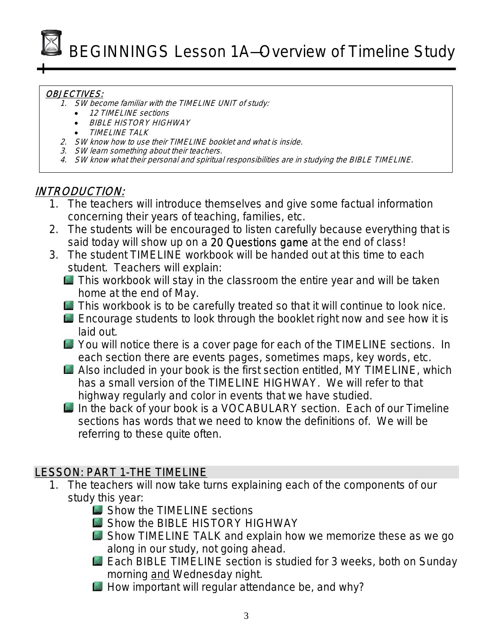BEGINNINGS Lesson 1A—Overview of Timeline Study

#### OBJECTIVES:

- 1. SW become familiar with the TIMELINE UNIT of study:
	- 12 TIMELINE sections
	- BIBLE HISTORY HIGHWAY
	- TIMELINE TALK
- 2. SW know how to use their TIMELINE booklet and what is inside.
- 3. SW learn something about their teachers.
- 4. SW know what their personal and spiritual responsibilities are in studying the BIBLE TIMELINE.

### INTRODUCTION:

- 1. The teachers will introduce themselves and give some factual information concerning their years of teaching, families, etc.
- 2. The students will be encouraged to listen carefully because everything that is said today will show up on a 20 Questions game at the end of class!
- 3. The student TIMELINE workbook will be handed out at this time to each student. Teachers will explain:
	- $\blacksquare$  This workbook will stay in the classroom the entire year and will be taken home at the end of May.
	- **This workbook is to be carefully treated so that it will continue to look nice.**
	- Encourage students to look through the booklet right now and see how it is laid out.
	- **EX** You will notice there is a cover page for each of the TIMELINE sections. In each section there are events pages, sometimes maps, key words, etc.
	- Also included in your book is the first section entitled, MY TIMELINE, which has a small version of the TIMELINE HIGHWAY. We will refer to that highway regularly and color in events that we have studied.
	- In the back of your book is a VOCABULARY section. Each of our Timeline sections has words that we need to know the definitions of. We will be referring to these quite often.

# LESSON: PART 1-THE TIMELINE

- 1. The teachers will now take turns explaining each of the components of our study this year:
	- Show the TIMELINE sections
	- **Show the BIBLE HISTORY HIGHWAY**
	- Show TIMELINE TALK and explain how we memorize these as we go along in our study, not going ahead.
	- Each BIBLE TIMELINE section is studied for 3 weeks, both on Sunday morning and Wednesday night.
	- How important will regular attendance be, and why?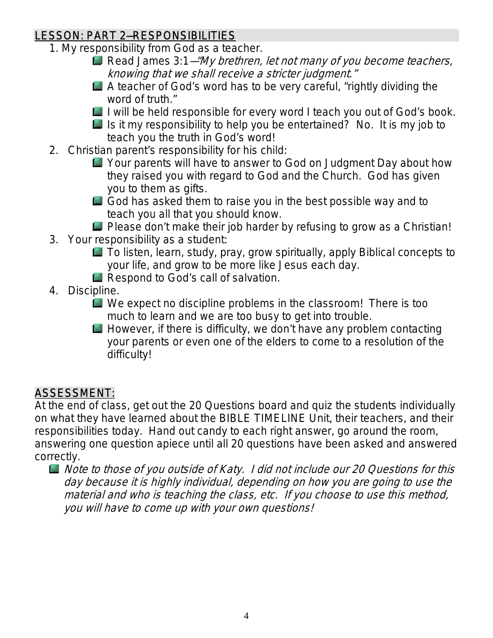# LESSON: PART 2—RESPONSIBILITIES

- 1. My responsibility from God as a teacher.
	- Read James  $3:1-\frac{m}{y}$  brethren, let not many of you become teachers, knowing that we shall receive a stricter judgment."
	- A teacher of God's word has to be very careful, "rightly dividing the word of truth."
	- I will be held responsible for every word I teach you out of God's book.
	- Is it my responsibility to help you be entertained? No. It is my job to teach you the truth in God's word!
- 2. Christian parent's responsibility for his child:
	- Your parents will have to answer to God on Judgment Day about how they raised you with regard to God and the Church. God has given you to them as gifts.
	- God has asked them to raise you in the best possible way and to teach you all that you should know.
	- Please don't make their job harder by refusing to grow as a Christian!
- 3. Your responsibility as a student:
	- To listen, learn, study, pray, grow spiritually, apply Biblical concepts to your life, and grow to be more like Jesus each day.
	- Respond to God's call of salvation.
- 4. Discipline.
	- We expect no discipline problems in the classroom! There is too much to learn and we are too busy to get into trouble.
	- $\Box$  However, if there is difficulty, we don't have any problem contacting your parents or even one of the elders to come to a resolution of the difficulty!

# ASSESSMENT:

At the end of class, get out the 20 Questions board and quiz the students individually on what they have learned about the BIBLE TIMELINE Unit, their teachers, and their responsibilities today. Hand out candy to each right answer, go around the room, answering one question apiece until all 20 questions have been asked and answered correctly.

Note to those of you outside of Katy. I did not include our 20 Questions for this day because it is highly individual, depending on how you are going to use the material and who is teaching the class, etc. If you choose to use this method, you will have to come up with your own questions!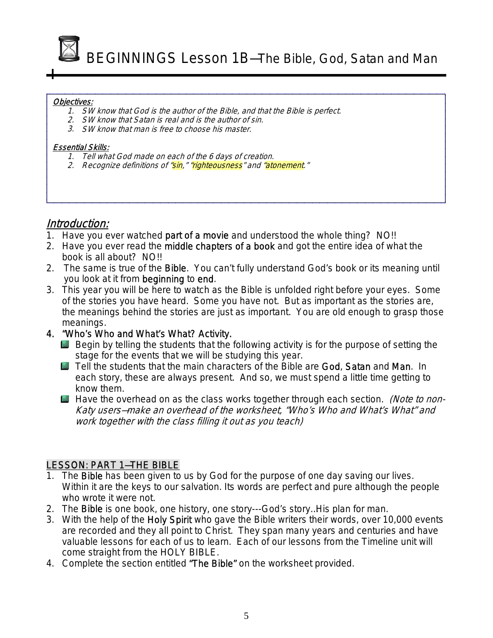

BEGINNINGS Lesson 1B—The Bible, God, Satan and Man

#### Objectives:

- 1. SW know that God is the author of the Bible, and that the Bible is perfect.
- 2. SW know that Satan is real and is the author of sin.
- 3. SW know that man is free to choose his master.

#### Essential Skills:

- 1. Tell what God made on each of the 6 days of creation.
- 2. Recognize definitions of "sin," "righteousness" and "atonement."

#### Introduction:

- 1. Have you ever watched part of a movie and understood the whole thing? NO!!
- 2. Have you ever read the middle chapters of a book and got the entire idea of what the book is all about? NO!!
- 2. The same is true of the Bible. You can't fully understand God's book or its meaning until you look at it from beginning to end.
- 3. This year you will be here to watch as the Bible is unfolded right before your eyes. Some of the stories you have heard. Some you have not. But as important as the stories are, the meanings behind the stories are just as important. You are old enough to grasp those meanings.
- 4. "Who's Who and What's What? Activity.
	- Begin by telling the students that the following activity is for the purpose of setting the stage for the events that we will be studying this year.
	- Tell the students that the main characters of the Bible are God, Satan and Man. In each story, these are always present. And so, we must spend a little time getting to know them.
	- **Have the overhead on as the class works together through each section.** (Note to non-Katy users—make an overhead of the worksheet, "Who's Who and What's What" and work together with the class filling it out as you teach)

#### LESSON: PART 1—THE BIBLE

- 1. The **Bible** has been given to us by God for the purpose of one day saving our lives. Within it are the keys to our salvation. Its words are perfect and pure although the people who wrote it were not.
- 2. The **Bible** is one book, one history, one story---God's story...His plan for man.
- 3. With the help of the Holy Spirit who gave the Bible writers their words, over 10,000 events are recorded and they all point to Christ. They span many years and centuries and have valuable lessons for each of us to learn. Each of our lessons from the Timeline unit will come straight from the HOLY BIBLE.
- 4. Complete the section entitled "The Bible" on the worksheet provided.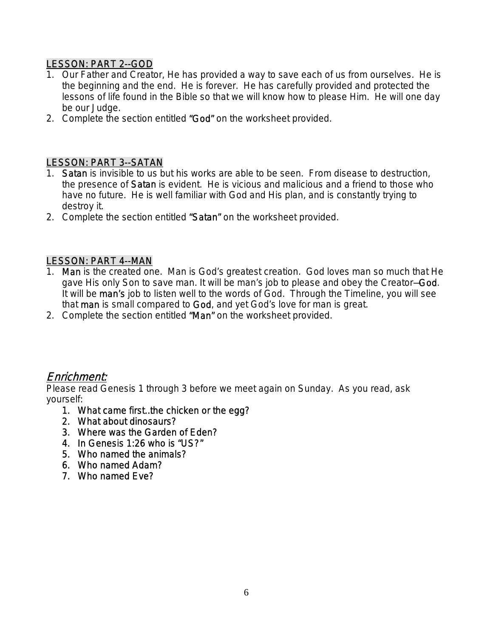#### LESSON: PART 2--GOD

- 1. Our Father and Creator, He has provided a way to save each of us from ourselves. He is the beginning and the end. He is forever. He has carefully provided and protected the lessons of life found in the Bible so that we will know how to please Him. He will one day be our Judge.
- 2. Complete the section entitled "God" on the worksheet provided.

#### LESSON: PART 3--SATAN

- 1. Satan is invisible to us but his works are able to be seen. From disease to destruction, the presence of Satan is evident. He is vicious and malicious and a friend to those who have no future. He is well familiar with God and His plan, and is constantly trying to destroy it.
- 2. Complete the section entitled "Satan" on the worksheet provided.

#### LESSON: PART 4--MAN

- 1. Man is the created one. Man is God's greatest creation. God loves man so much that He gave His only Son to save man. It will be man's job to please and obey the Creator-God. It will be man's job to listen well to the words of God. Through the Timeline, you will see that man is small compared to God, and yet God's love for man is great.
- 2. Complete the section entitled "Man" on the worksheet provided.

#### Enrichment:

Please read Genesis 1 through 3 before we meet again on Sunday. As you read, ask yourself:

- 1. What came first…the chicken or the egg?
- 2. What about dinosaurs?
- 3. Where was the Garden of Eden?
- 4. In Genesis 1:26 who is "US?"
- 5. Who named the animals?
- 6. Who named Adam?
- 7. Who named Eve?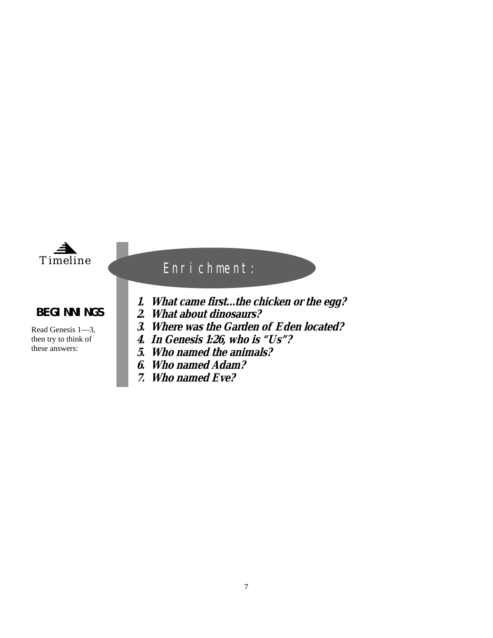

#### **BEGINNINGS**

Read Genesis 1—3, then try to think of these answers:

# Enrichment:

- **1. What came first...the chicken or the egg?**
- **2. What about dinosaurs?**
- **3. Where was the Garden of Eden located?**
- **4. In Genesis 1:26, who is "Us"?**
- **5. Who named the animals?**
- **6. Who named Adam?**
- **7. Who named Eve?**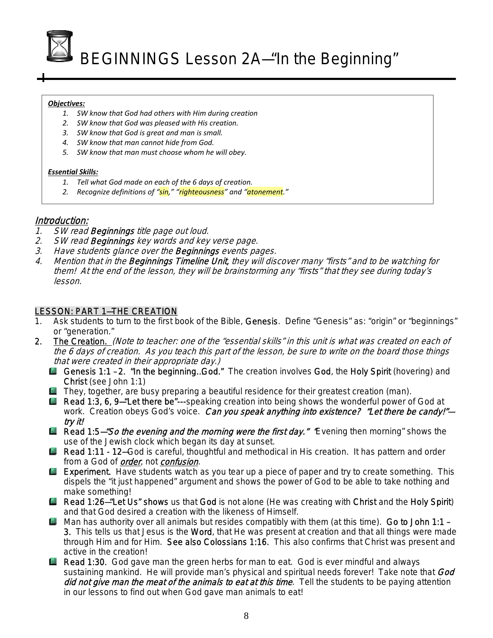BEGINNINGS Lesson 2A—"In the Beginning"

#### *Objectives:*

- *1. SW know that God had others with Him during creation*
- *2. SW know that God was pleased with His creation.*
- *3. SW know that God is great and man is small.*
- *4. SW know that man cannot hide from God.*
- *5. SW know that man must choose whom he will obey.*

#### *Essential Skills:*

- *1. Tell what God made on each of the 6 days of creation.*
- *2. Recognize definitions of "sin," "righteousness" and "atonement."*

#### Introduction:

- 1. SW read Beginnings title page out loud.
- 2. SW read Beginnings key words and key verse page.
- 3. Have students glance over the Beginnings events pages.
- 4. Mention that in the Beginnings Timeline Unit, they will discover many "firsts" and to be watching for them! At the end of the lesson, they will be brainstorming any "firsts" that they see during today's lesson.

#### LESSON: PART 1—THE CREATION

- 1. Ask students to turn to the first book of the Bible, Genesis. Define "Genesis" as: "origin" or "beginnings" or "generation."
- 2. The Creation. (Note to teacher: one of the "essential skills" in this unit is what was created on each of the 6 days of creation. As you teach this part of the lesson, be sure to write on the board those things that were created in their appropriate day.)
	- Genesis 1:1 2. "In the beginning...God." The creation involves God, the Holy Spirit (hovering) and Christ (see John 1:1)
	- **They, together, are busy preparing a beautiful residence for their greatest creation (man).**
	- **L** Read 1:3, 6, 9-"Let there be"---speaking creation into being shows the wonderful power of God at work. Creation obeys God's voice. Can you speak anything into existence? "Let there be candy!"try it!
	- Read 1:5-"So the evening and the morning were the first day." Evening then morning" shows the use of the Jewish clock which began its day at sunset.
	- Read 1:11 12-God is careful, thoughtful and methodical in His creation. It has pattern and order from a God of *order*, not *confusion*.
	- **Experiment.** Have students watch as you tear up a piece of paper and try to create something. This dispels the "it just happened" argument and shows the power of God to be able to take nothing and make something!
	- Read 1:26–"Let Us" shows us that God is not alone (He was creating with Christ and the Holy Spirit) and that God desired a creation with the likeness of Himself.
	- Man has authority over all animals but resides compatibly with them (at this time). Go to John 1:1 -3. This tells us that Jesus is the Word, that He was present at creation and that all things were made through Him and for Him. See also Colossians 1:16. This also confirms that Christ was present and active in the creation!
	- **Read 1:30.** God gave man the green herbs for man to eat. God is ever mindful and always sustaining mankind. He will provide man's physical and spiritual needs forever! Take note that God did not give man the meat of the animals to eat at this time. Tell the students to be paying attention in our lessons to find out when God gave man animals to eat!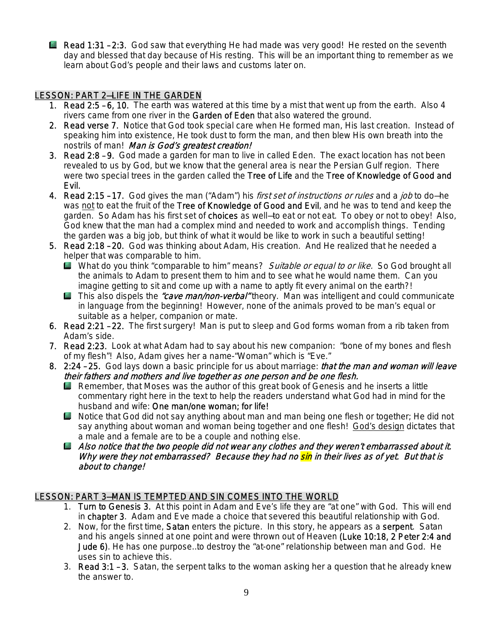**E** Read 1:31 - 2:3. God saw that everything He had made was very good! He rested on the seventh day and blessed that day because of His resting. This will be an important thing to remember as we learn about God's people and their laws and customs later on.

#### LESSON: PART 2—LIFE IN THE GARDEN

- 1. Read 2:5 6, 10. The earth was watered at this time by a mist that went up from the earth. Also 4 rivers came from one river in the Garden of Eden that also watered the ground.
- 2. Read verse 7. Notice that God took special care when He formed man, His last creation. Instead of speaking him into existence, He took dust to form the man, and then blew His own breath into the nostrils of man! Man is God's greatest creation!
- 3. Read 2:8 9. God made a garden for man to live in called Eden. The exact location has not been revealed to us by God, but we know that the general area is near the Persian Gulf region. There were two special trees in the garden called the Tree of Life and the Tree of Knowledge of Good and Evil.
- 4. Read 2:15 17. God gives the man ("Adam") his *first set of instructions or rules* and a *job* to do-he was not to eat the fruit of the Tree of Knowledge of Good and Evil, and he was to tend and keep the garden. So Adam has his first set of choices as well-to eat or not eat. To obey or not to obey! Also, God knew that the man had a complex mind and needed to work and accomplish things. Tending the garden was a big job, but think of what it would be like to work in such a beautiful setting!
- 5. Read 2:18 20. God was thinking about Adam, His creation. And He realized that he needed a helper that was comparable to him.
	- What do you think "comparable to him" means? Suitable or equal to or like. So God brought all the animals to Adam to present them to him and to see what he would name them. Can you imagine getting to sit and come up with a name to aptly fit every animal on the earth?!
	- **This also dispels the** *"cave man/non-verbal***"** theory. Man was intelligent and could communicate in language from the beginning! However, none of the animals proved to be man's equal or suitable as a helper, companion or mate.
- 6. Read 2:21 22. The first surgery! Man is put to sleep and God forms woman from a rib taken from Adam's side.
- 7. Read 2:23. Look at what Adam had to say about his new companion: "bone of my bones and flesh of my flesh"! Also, Adam gives her a name-"Woman" which is "Eve."
- 8. 2:24 25. God lays down a basic principle for us about marriage: *that the man and woman will leave* their fathers and mothers and live together as one person and be one flesh.
	- **Remember, that Moses was the author of this great book of Genesis and he inserts a little** commentary right here in the text to help the readers understand what God had in mind for the husband and wife: One man/one woman; for life!
	- **L** Notice that God did not say anything about man and man being one flesh or together; He did not say anything about woman and woman being together and one flesh! God's design dictates that a male and a female are to be a couple and nothing else.
	- $\Box$  Also notice that the two people did not wear any clothes and they weren't embarrassed about it. Why were they not embarrassed? Because they had no sin in their lives as of yet. But that is about to change!

#### LESSON: PART 3—MAN IS TEMPTED AND SIN COMES INTO THE WORLD

- 1. Turn to Genesis 3. At this point in Adam and Eve's life they are "at one" with God. This will end in chapter 3. Adam and Eve made a choice that severed this beautiful relationship with God.
- 2. Now, for the first time, Satan enters the picture. In this story, he appears as a serpent. Satan and his angels sinned at one point and were thrown out of Heaven (Luke 10:18, 2 Peter 2:4 and Jude 6). He has one purpose…to destroy the "at-one" relationship between man and God. He uses sin to achieve this.
- 3. Read 3:1 3. Satan, the serpent talks to the woman asking her a question that he already knew the answer to.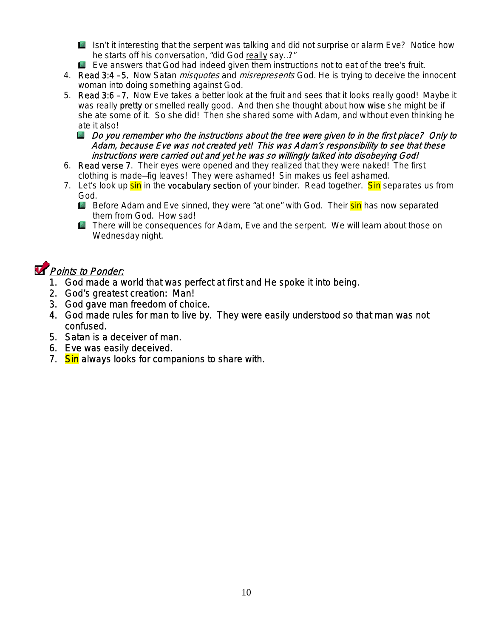Isn't it interesting that the serpent was talking and did not surprise or alarm Eve? Notice how he starts off his conversation, "did God really say…?"

- Eve answers that God had indeed given them instructions not to eat of the tree's fruit.
- 4. Read 3:4 5. Now Satan *misquotes* and *misrepresents* God. He is trying to deceive the innocent woman into doing something against God.
- 5. Read 3:6 7. Now Eve takes a better look at the fruit and sees that it looks really good! Maybe it was really pretty or smelled really good. And then she thought about how wise she might be if she ate some of it. So she did! Then she shared some with Adam, and without even thinking he ate it also!
	- $\Box$  Do you remember who the instructions about the tree were given to in the first place? Only to Adam, because Eve was not created yet! This was Adam's responsibility to see that these instructions were carried out and yet he was so willingly talked into disobeying God!
- 6. Read verse 7. Their eyes were opened and they realized that they were naked! The first clothing is made—fig leaves! They were ashamed! Sin makes us feel ashamed.
- 7. Let's look up sin in the vocabulary section of your binder. Read together. Sin separates us from God.
	- **Before Adam and Eve sinned, they were "at one" with God. Their sin has now separated** them from God. How sad!
	- **There will be consequences for Adam, Eve and the serpent. We will learn about those on** Wednesday night.

# **Points to Ponder:**

- 1. God made a world that was perfect at first and He spoke it into being.
- 2. God's greatest creation: Man!
- 3. God gave man freedom of choice.
- 4. God made rules for man to live by. They were easily understood so that man was not confused.
- 5. Satan is a deceiver of man.
- 6. Eve was easily deceived.
- 7. Sin always looks for companions to share with.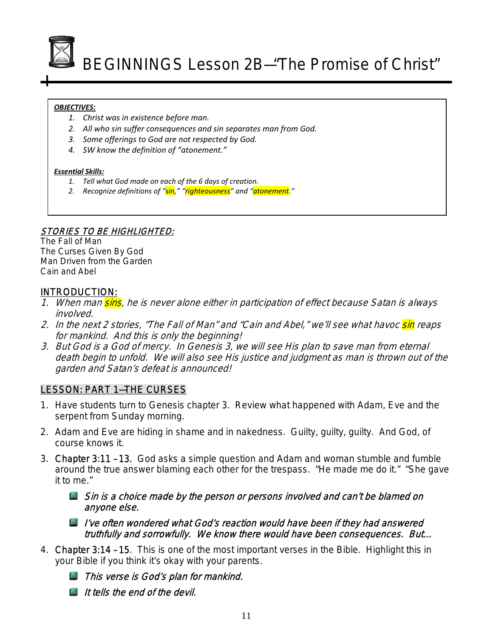

BEGINNINGS Lesson 2B—"The Promise of Christ"

#### *OBJECTIVES:*

- *1. Christ was in existence before man.*
- *2. All who sin suffer consequences and sin separates man from God.*
- *3. Some offerings to God are not respected by God.*
- *4. SW know the definition of "atonement."*

#### *Essential Skills:*

- *1. Tell what God made on each of the 6 days of creation.*
- *2. Recognize definitions of "sin," "righteousness" and "atonement."*

#### STORIES TO BE HIGHLIGHTED:

The Fall of Man The Curses Given By God Man Driven from the Garden Cain and Abel

#### INTRODUCTION:

- 1. When man sins, he is never alone either in participation of effect because Satan is always involved.
- 2. In the next 2 stories, "The Fall of Man" and "Cain and Abel," we'll see what havoc sin reaps for mankind. And this is only the beginning!
- 3. But God is a God of mercy. In Genesis 3, we will see His plan to save man from eternal death begin to unfold. We will also see His justice and judgment as man is thrown out of the garden and Satan's defeat is announced!

#### LESSON: PART 1—THE CURSES

- 1. Have students turn to Genesis chapter 3. Review what happened with Adam, Eve and the serpent from Sunday morning.
- 2. Adam and Eve are hiding in shame and in nakedness. Guilty, guilty, guilty. And God, of course knows it.
- 3. Chapter 3:11 13. God asks a simple question and Adam and woman stumble and fumble around the true answer blaming each other for the trespass. "He made me do it." "She gave it to me."

Sin is a choice made by the person or persons involved and can't be blamed on anyone else.

- I've often wondered what God's reaction would have been if they had answered truthfully and sorrowfully. We know there would have been consequences. But…
- 4. Chapter 3:14 15. This is one of the most important verses in the Bible. Highlight this in your Bible if you think it's okay with your parents.
	- **This verse is God's plan for mankind.**
	- It tells the end of the devil.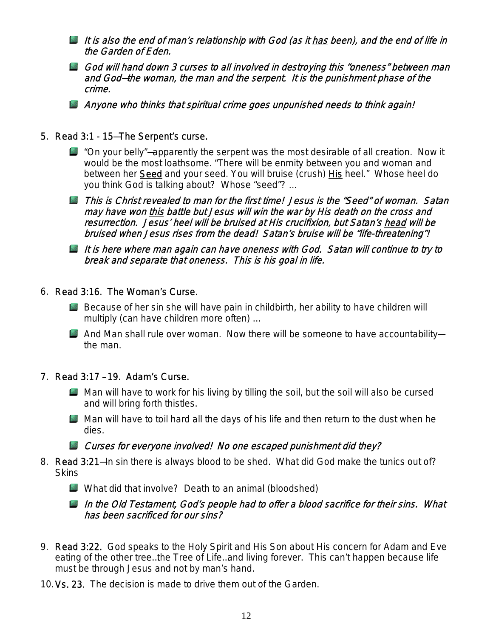- It is also the end of man's relationship with God (as it has been), and the end of life in the Garden of Eden.
- God will hand down 3 curses to all involved in destroying this "oneness" between man and God—the woman, the man and the serpent. It is the punishment phase of the crime.
- Anyone who thinks that spiritual crime goes unpunished needs to think again!
- 5. Read 3:1 15—The Serpent's curse.
	- $\Box$  "On your belly"—apparently the serpent was the most desirable of all creation. Now it would be the most loathsome. "There will be enmity between you and woman and between her Seed and your seed. You will bruise (crush) His heel." Whose heel do you think God is talking about? Whose "seed"? ….
	- This is Christ revealed to man for the first time! Jesus is the "Seed" of woman. Satan may have won this battle but Jesus will win the war by His death on the cross and resurrection. Jesus' heel will be bruised at His crucifixion, but Satan's head will be bruised when Jesus rises from the dead! Satan's bruise will be "life-threatening"!
	- It is here where man again can have oneness with God. Satan will continue to try to break and separate that oneness. This is his goal in life.
- 6. Read 3:16. The Woman's Curse.
	- Because of her sin she will have pain in childbirth, her ability to have children will multiply (can have children more often) …
	- And Man shall rule over woman. Now there will be someone to have accountabilitythe man.
- 7. Read 3:17 19. Adam's Curse.
	- $\Box$  Man will have to work for his living by tilling the soil, but the soil will also be cursed and will bring forth thistles.
	- Man will have to toil hard all the days of his life and then return to the dust when he dies.

**L** Curses for everyone involved! No one escaped punishment did they?

- 8. Read 3:21—In sin there is always blood to be shed. What did God make the tunics out of? **Skins** 
	- What did that involve? Death to an animal (bloodshed)
	- In the Old Testament, God's people had to offer a blood sacrifice for their sins. What has been sacrificed for our sins?
- 9. Read 3:22. God speaks to the Holy Spirit and His Son about His concern for Adam and Eve eating of the other tree…the Tree of Life…and living forever. This can't happen because life must be through Jesus and not by man's hand.
- 10.Vs. 23. The decision is made to drive them out of the Garden.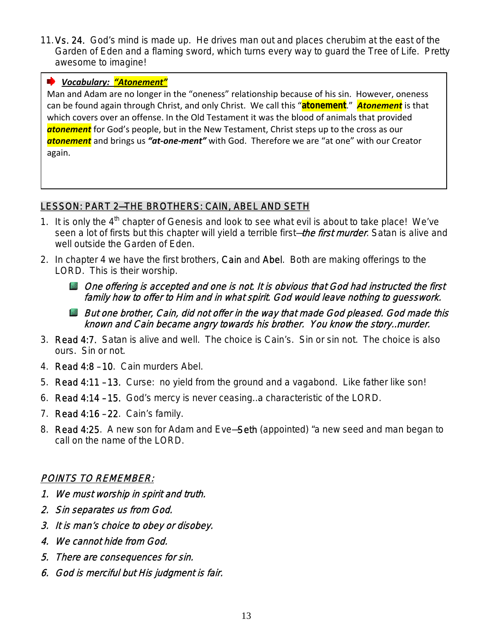11.Vs. 24. God's mind is made up. He drives man out and places cherubim at the east of the Garden of Eden and a flaming sword, which turns every way to guard the Tree of Life. Pretty awesome to imagine!

#### *Vocabulary: "Atonement"*

Man and Adam are no longer in the "oneness" relationship because of his sin. However, oneness can be found again through Christ, and only Christ. We call this "**atonement**." *Atonement* is that which covers over an offense. In the Old Testament it was the blood of animals that provided *atonement* for God's people, but in the New Testament, Christ steps up to the cross as our *atonement* and brings us *"at‐one‐ment"* with God. Therefore we are "at one" with our Creator again.

#### LESSON: PART 2—THE BROTHERS: CAIN, ABEL AND SETH

- 1. It is only the  $4<sup>th</sup>$  chapter of Genesis and look to see what evil is about to take place! We've seen a lot of firsts but this chapter will yield a terrible first–the first murder. Satan is alive and well outside the Garden of Eden.
- 2. In chapter 4 we have the first brothers, Cain and Abel. Both are making offerings to the LORD. This is their worship.
	- **D** One offering is accepted and one is not. It is obvious that God had instructed the first family how to offer to Him and in what spirit. God would leave nothing to guesswork.
	- **But one brother, Cain, did not offer in the way that made God pleased. God made this** known and Cain became angry towards his brother. You know the story…murder.
- 3. Read 4:7. Satan is alive and well. The choice is Cain's. Sin or sin not. The choice is also ours. Sin or not.
- 4. Read 4:8 10. Cain murders Abel.
- 5. Read 4:11 13. Curse: no yield from the ground and a vagabond. Like father like son!
- 6. Read 4:14 15. God's mercy is never ceasing…a characteristic of the LORD.
- 7. Read 4:16 22. Cain's family.
- 8. Read 4:25. A new son for Adam and Eve—Seth (appointed) "a new seed and man began to call on the name of the LORD.

#### POINTS TO REMEMBER:

- 1. We must worship in spirit and truth.
- 2. Sin separates us from God.
- 3. It is man's choice to obey or disobey.
- 4. We cannot hide from God.
- 5. There are consequences for sin.
- 6. God is merciful but His judgment is fair.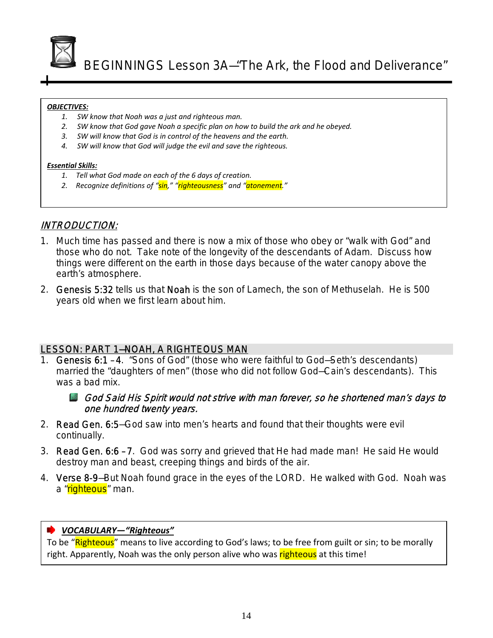

BEGINNINGS Lesson 3A—"The Ark, the Flood and Deliverance"

#### *OBJECTIVES:*

- *1. SW know that Noah was a just and righteous man.*
- *2. SW know that God gave Noah a specific plan on how to build the ark and he obeyed.*
- *3. SW will know that God is in control of the heavens and the earth.*
- *4. SW will know that God will judge the evil and save the righteous.*

#### *Essential Skills:*

- *1. Tell what God made on each of the 6 days of creation.*
- *2. Recognize definitions of "sin," "righteousness" and "atonement."*

#### INTRODUCTION:

- 1. Much time has passed and there is now a mix of those who obey or "walk with God" and those who do not. Take note of the longevity of the descendants of Adam. Discuss how things were different on the earth in those days because of the water canopy above the earth's atmosphere.
- 2. Genesis 5:32 tells us that Noah is the son of Lamech, the son of Methuselah. He is 500 years old when we first learn about him.

#### LESSON: PART 1—NOAH, A RIGHTEOUS MAN

1. Genesis 6:1 – 4. "Sons of God" (those who were faithful to God—Seth's descendants) married the "daughters of men" (those who did not follow God—Cain's descendants). This was a bad mix.

#### God Said His Spirit would not strive with man forever, so he shortened man's days to one hundred twenty years.

- 2. Read Gen. 6:5—God saw into men's hearts and found that their thoughts were evil continually.
- 3. Read Gen. 6:6 7. God was sorry and grieved that He had made man! He said He would destroy man and beast, creeping things and birds of the air.
- 4. Verse 8-9—But Noah found grace in the eyes of the LORD. He walked with God. Noah was a "righteous" man.

#### *VOCABULARY—"Righteous"*

To be "Righteous" means to live according to God's laws; to be free from guilt or sin; to be morally right. Apparently, Noah was the only person alive who was righteous at this time!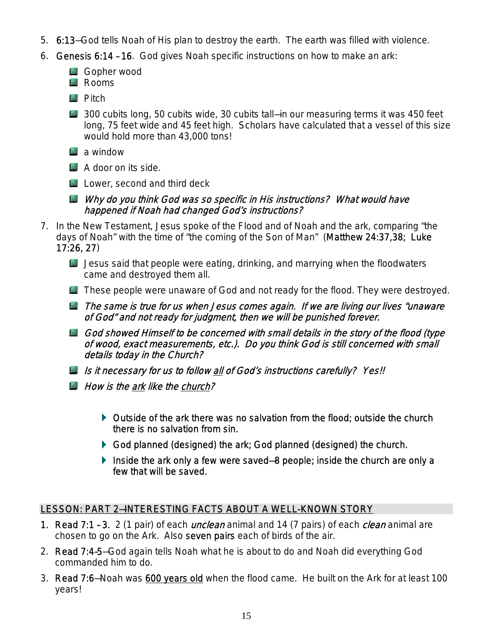- 5. 6:13—God tells Noah of His plan to destroy the earth. The earth was filled with violence.
- 6. Genesis 6:14 16. God gives Noah specific instructions on how to make an ark:
	- **L** Gopher wood
	- **Rooms**
	- **Pitch**
	- 300 cubits long, 50 cubits wide, 30 cubits tall–in our measuring terms it was 450 feet long, 75 feet wide and 45 feet high. Scholars have calculated that a vessel of this size would hold more than 43,000 tons!
	- **a** window
	- **A** door on its side.
	- Lower, second and third deck
	- Why do you think God was so specific in His instructions? What would have happened if Noah had changed God's instructions?
- 7. In the New Testament, Jesus spoke of the Flood and of Noah and the ark, comparing "the days of Noah" with the time of "the coming of the Son of Man" (Matthew 24:37,38; Luke 17:26, 27)
	- $\Box$  Jesus said that people were eating, drinking, and marrying when the floodwaters came and destroyed them all.
	- **These people were unaware of God and not ready for the flood. They were destroyed.**
	- **The same is true for us when Jesus comes again. If we are living our lives "unaware"** of God" and not ready for judgment, then we will be punished forever.
	- God showed Himself to be concerned with small details in the story of the flood (type of wood, exact measurements, etc.). Do you think God is still concerned with small details today in the Church?
	- Is it necessary for us to follow all of God's instructions carefully? Yes!!
	- **How is the ark like the church?** 
		- Outside of the ark there was no salvation from the flood; outside the church there is no salvation from sin.
		- God planned (designed) the ark; God planned (designed) the church.
		- Inside the ark only a few were saved—8 people; inside the church are only a few that will be saved.

#### LESSON: PART 2—INTERESTING FACTS ABOUT A WELL-KNOWN STORY

- 1. Read 7:1 3. 2 (1 pair) of each *unclean* animal and 14 (7 pairs) of each *clean* animal are chosen to go on the Ark. Also seven pairs each of birds of the air.
- 2. Read 7:4–5—God again tells Noah what he is about to do and Noah did everything God commanded him to do.
- 3. Read 7:6-Noah was 600 years old when the flood came. He built on the Ark for at least 100 years!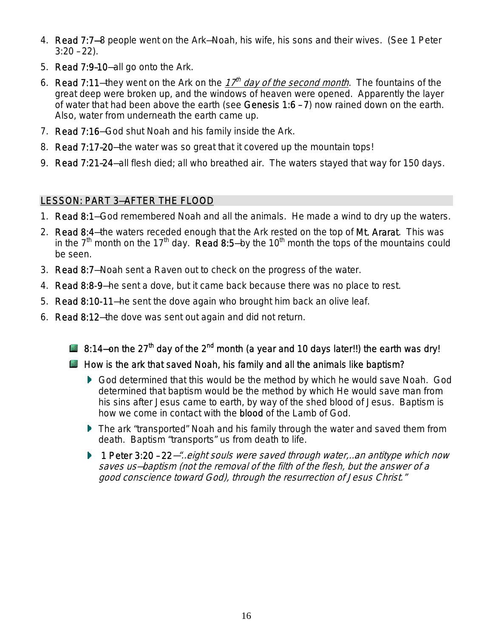- 4. Read 7:7—8 people went on the Ark—Noah, his wife, his sons and their wives. (See 1 Peter 3:20 – 22).
- 5. Read 7:9–10—all go onto the Ark.
- 6. Read 7:11-they went on the Ark on the  $17<sup>th</sup>$  day of the second month. The fountains of the great deep were broken up, and the windows of heaven were opened. Apparently the layer of water that had been above the earth (see Genesis 1:6 – 7) now rained down on the earth. Also, water from underneath the earth came up.
- 7. Read 7:16—God shut Noah and his family inside the Ark.
- 8. Read 7:17–20—the water was so great that it covered up the mountain tops!
- 9. Read 7:21–24—all flesh died; all who breathed air. The waters stayed that way for 150 days.

#### LESSON: PART 3—AFTER THE FLOOD

- 1. Read 8:1—God remembered Noah and all the animals. He made a wind to dry up the waters.
- 2. Read 8:4–the waters receded enough that the Ark rested on the top of Mt. Ararat. This was in the  $7<sup>th</sup>$  month on the 17<sup>th</sup> day. Read 8:5-by the 10<sup>th</sup> month the tops of the mountains could be seen.
- 3. Read 8:7—Noah sent a Raven out to check on the progress of the water.
- 4. Read 8:8-9—he sent a dove, but it came back because there was no place to rest.
- 5. Read 8:10-11—he sent the dove again who brought him back an olive leaf.
- 6. Read 8:12—the dove was sent out again and did not return.
	- 8:14–on the 27<sup>th</sup> day of the 2<sup>nd</sup> month (a year and 10 days later!!) the earth was dry!
	- $\blacksquare$  How is the ark that saved Noah, his family and all the animals like baptism?
		- God determined that this would be the method by which he would save Noah. God determined that baptism would be the method by which He would save man from his sins after Jesus came to earth, by way of the shed blood of Jesus. Baptism is how we come in contact with the **blood** of the Lamb of God.
		- The ark "transported" Noah and his family through the water and saved them from death. Baptism "transports" us from death to life.
		- ▶ 1 Peter 3:20 22 "... eight souls were saved through water, ... an antitype which now saves us—baptism (not the removal of the filth of the flesh, but the answer of a good conscience toward God), through the resurrection of Jesus Christ."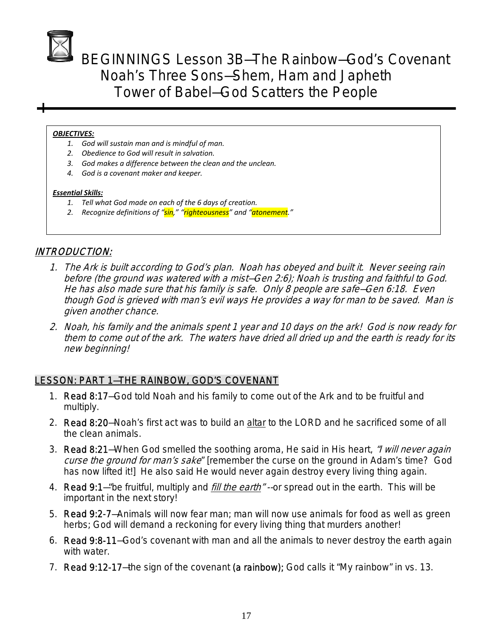BEGINNINGS Lesson 3B—The Rainbow—God's Covenant Noah's Three Sons—Shem, Ham and Japheth Tower of Babel—God Scatters the People

#### *OBJECTIVES:*

- *1. God will sustain man and is mindful of man.*
- *2. Obedience to God will result in salvation.*
- *3. God makes a difference between the clean and the unclean.*
- *4. God is a covenant maker and keeper.*

#### *Essential Skills:*

- *1. Tell what God made on each of the 6 days of creation.*
- *2. Recognize definitions of "sin," "righteousness" and "atonement."*

#### INTRODUCTION:

- 1. The Ark is built according to God's plan. Noah has obeyed and built it. Never seeing rain before (the ground was watered with a mist—Gen 2:6); Noah is trusting and faithful to God. He has also made sure that his family is safe. Only 8 people are safe—Gen 6:18. Even though God is grieved with man's evil ways He provides a way for man to be saved. Man is given another chance.
- 2. Noah, his family and the animals spent 1 year and 10 days on the ark! God is now ready for them to come out of the ark. The waters have dried all dried up and the earth is ready for its new beginning!

#### LESSON: PART 1—THE RAINBOW, GOD'S COVENANT

- 1. Read 8:17—God told Noah and his family to come out of the Ark and to be fruitful and multiply.
- 2. Read 8:20—Noah's first act was to build an altar to the LORD and he sacrificed some of all the clean animals.
- 3. Read 8:21-When God smelled the soothing aroma, He said in His heart, "I will never again curse the ground for man's sake" [remember the curse on the ground in Adam's time? God has now lifted it!] He also said He would never again destroy every living thing again.
- 4. Read 9:1-"be fruitful, multiply and *fill the earth*" --or spread out in the earth. This will be important in the next story!
- 5. Read 9:2-7—Animals will now fear man; man will now use animals for food as well as green herbs; God will demand a reckoning for every living thing that murders another!
- 6. Read 9:8-11—God's covenant with man and all the animals to never destroy the earth again with water.
- 7. Read 9:12-17-the sign of the covenant (a rainbow); God calls it "My rainbow" in vs. 13.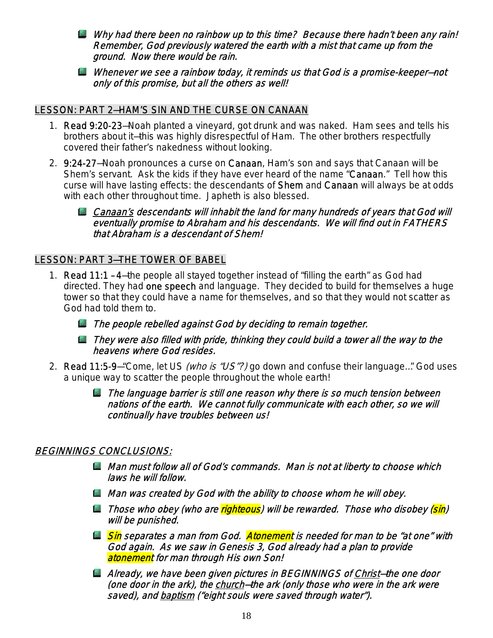- Why had there been no rainbow up to this time? Because there hadn't been any rain! Remember, God previously watered the earth with a mist that came up from the ground. Now there would be rain.
- Whenever we see a rainbow today, it reminds us that God is a promise-keeper-not only of this promise, but all the others as well!

#### LESSON: PART 2—HAM'S SIN AND THE CURSE ON CANAAN

- 1. Read 9:20-23—Noah planted a vineyard, got drunk and was naked. Ham sees and tells his brothers about it—this was highly disrespectful of Ham. The other brothers respectfully covered their father's nakedness without looking.
- 2. 9:24-27—Noah pronounces a curse on Canaan, Ham's son and says that Canaan will be Shem's servant. Ask the kids if they have ever heard of the name "Canaan." Tell how this curse will have lasting effects: the descendants of Shem and Canaan will always be at odds with each other throughout time. Japheth is also blessed.
	- **L** Canaan's descendants will inhabit the land for many hundreds of years that God will eventually promise to Abraham and his descendants. We will find out in FATHERS that Abraham is a descendant of Shem!

#### LESSON: PART 3—THE TOWER OF BABEL

- 1. Read 11:1 4—the people all stayed together instead of "filling the earth" as God had directed. They had one speech and language. They decided to build for themselves a huge tower so that they could have a name for themselves, and so that they would not scatter as God had told them to.
	- **Lattitude The people rebelled against God by deciding to remain together.**
	- **L** They were also filled with pride, thinking they could build a tower all the way to the heavens where God resides.
- 2. Read 11:5-9-"Come, let US (who is "US"?) go down and confuse their language..." God uses a unique way to scatter the people throughout the whole earth!
	- $\Box$  The language barrier is still one reason why there is so much tension between nations of the earth. We cannot fully communicate with each other, so we will continually have troubles between us!

#### BEGINNINGS CONCLUSIONS:

- **Man must follow all of God's commands. Man is not at liberty to choose which** laws he will follow.
- **Man was created by God with the ability to choose whom he will obey.**
- **L** Those who obey (who are righteous) will be rewarded. Those who disobey (sin) will be punished.
- **Sin** separates a man from God. **Atonement** is needed for man to be "at one" with God again. As we saw in Genesis 3, God already had a plan to provide atonement for man through His own Son!
- **Already, we have been given pictures in BEGINNINGS of Christ-the one door** (one door in the ark), the church-the ark (only those who were in the ark were saved), and **baptism** ("eight souls were saved through water").